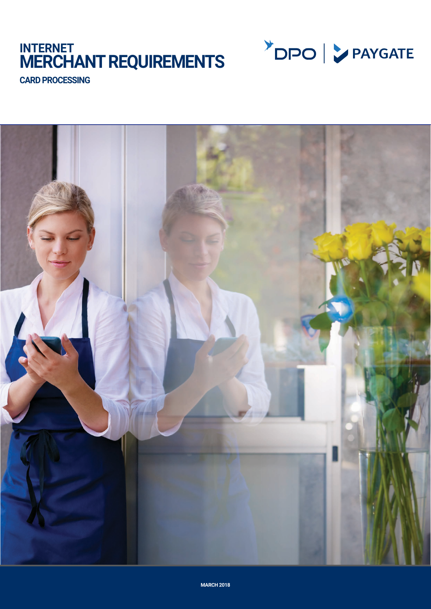# **INTERNET MERCHANT REQUIREMENTS**



**CARD PROCESSING**

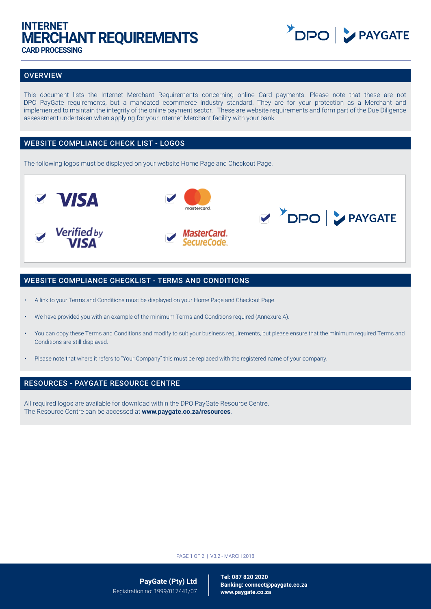## **INTERNET MERCHANT REQUIREMENTS CARD PROCESSING**



## **OVERVIEW**

This document lists the Internet Merchant Requirements concerning online Card payments. Please note that these are not DPO PayGate requirements, but a mandated ecommerce industry standard. They are for your protection as a Merchant and implemented to maintain the integrity of the online payment sector. These are website requirements and form part of the Due Diligence assessment undertaken when applying for your Internet Merchant facility with your bank.

## WEBSITE COMPLIANCE CHECK LIST - LOGOS

The following logos must be displayed on your website Home Page and Checkout Page.



## WEBSITE COMPLIANCE CHECKLIST - TERMS AND CONDITIONS

- A link to your Terms and Conditions must be displayed on your Home Page and Checkout Page.
- We have provided you with an example of the minimum Terms and Conditions required (Annexure A).
- You can copy these Terms and Conditions and modify to suit your business requirements, but please ensure that the minimum required Terms and Conditions are still displayed.
- Please note that where it refers to "Your Company" this must be replaced with the registered name of your company.

### RESOURCES - PAYGATE RESOURCE CENTRE

All required logos are available for download within the DPO PayGate Resource Centre. The Resource Centre can be accessed at **www.paygate.co.za/resources**.

PAGE 1 OF 2 | V3.2 - MARCH 2018

**PayGate (Pty) Ltd** Registration no: 1999/017441/07

**Tel: 087 820 2020 Banking: connect@paygate.co.za www.paygate.co.za**